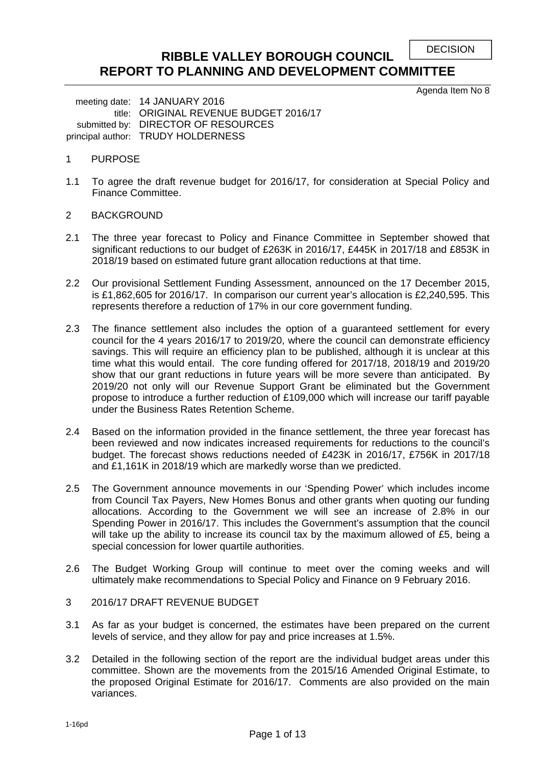```
DECISION
```
# **RIBBLE VALLEY BOROUGH COUNCIL REPORT TO PLANNING AND DEVELOPMENT COMMITTEE**

Agenda Item No 8

meeting date: 14 JANUARY 2016 title: ORIGINAL REVENUE BUDGET 2016/17 submitted by: DIRECTOR OF RESOURCES principal author: TRUDY HOLDERNESS

## 1 PURPOSE

- 1.1 To agree the draft revenue budget for 2016/17, for consideration at Special Policy and Finance Committee.
- 2 BACKGROUND
- 2.1 The three year forecast to Policy and Finance Committee in September showed that significant reductions to our budget of £263K in 2016/17, £445K in 2017/18 and £853K in 2018/19 based on estimated future grant allocation reductions at that time.
- 2.2 Our provisional Settlement Funding Assessment, announced on the 17 December 2015, is £1,862,605 for 2016/17. In comparison our current year's allocation is £2,240,595. This represents therefore a reduction of 17% in our core government funding.
- 2.3 The finance settlement also includes the option of a guaranteed settlement for every council for the 4 years 2016/17 to 2019/20, where the council can demonstrate efficiency savings. This will require an efficiency plan to be published, although it is unclear at this time what this would entail. The core funding offered for 2017/18, 2018/19 and 2019/20 show that our grant reductions in future years will be more severe than anticipated. By 2019/20 not only will our Revenue Support Grant be eliminated but the Government propose to introduce a further reduction of £109,000 which will increase our tariff payable under the Business Rates Retention Scheme.
- 2.4 Based on the information provided in the finance settlement, the three year forecast has been reviewed and now indicates increased requirements for reductions to the council's budget. The forecast shows reductions needed of £423K in 2016/17, £756K in 2017/18 and £1,161K in 2018/19 which are markedly worse than we predicted.
- 2.5 The Government announce movements in our 'Spending Power' which includes income from Council Tax Payers, New Homes Bonus and other grants when quoting our funding allocations. According to the Government we will see an increase of 2.8% in our Spending Power in 2016/17. This includes the Government's assumption that the council will take up the ability to increase its council tax by the maximum allowed of £5, being a special concession for lower quartile authorities.
- 2.6 The Budget Working Group will continue to meet over the coming weeks and will ultimately make recommendations to Special Policy and Finance on 9 February 2016.

## 3 2016/17 DRAFT REVENUE BUDGET

- 3.1 As far as your budget is concerned, the estimates have been prepared on the current levels of service, and they allow for pay and price increases at 1.5%.
- 3.2 Detailed in the following section of the report are the individual budget areas under this committee. Shown are the movements from the 2015/16 Amended Original Estimate, to the proposed Original Estimate for 2016/17. Comments are also provided on the main variances.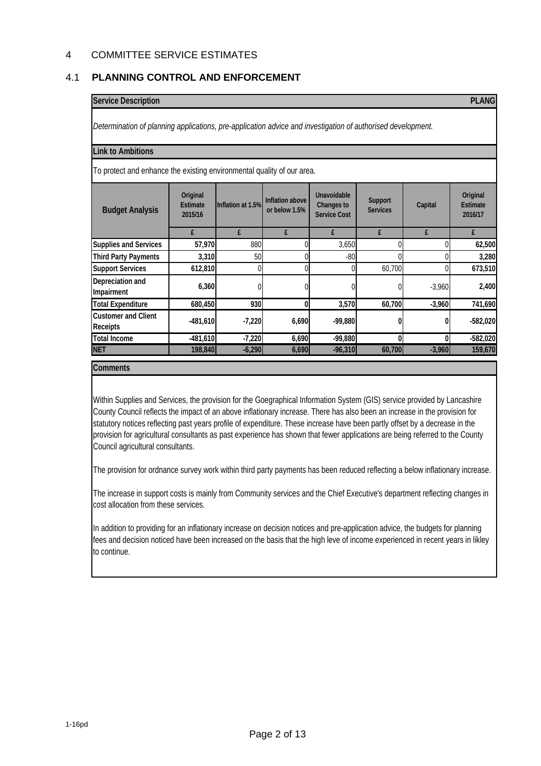## 4 COMMITTEE SERVICE ESTIMATES

## 4.1 **PLANNING CONTROL AND ENFORCEMENT**

#### **Service Description PLANG**

*Determination of planning applications, pre-application advice and investigation of authorised development.*

#### **Link to Ambitions**

To protect and enhance the existing environmental quality of our area.

| <b>Budget Analysis</b>                 | Original<br><b>Estimate</b><br>2015/16 | Inflation at 1.5% | Inflation above<br>or below 1.5% | Unavoidable<br>Changes to<br><b>Service Cost</b> | Support<br><b>Services</b> | Capital  | Original<br><b>Estimate</b><br>2016/17 |
|----------------------------------------|----------------------------------------|-------------------|----------------------------------|--------------------------------------------------|----------------------------|----------|----------------------------------------|
|                                        | £                                      |                   | £                                | £                                                | £                          | £        | f                                      |
| Supplies and Services                  | 57,970                                 | 880               |                                  | 3,650                                            |                            |          | 62,500                                 |
| <b>Third Party Payments</b>            | 3,310                                  | 50                |                                  | $-80$                                            |                            |          | 3,280                                  |
| <b>Support Services</b>                | 612,810                                |                   |                                  |                                                  | 60.700                     |          | 673,510                                |
| Depreciation and<br>Impairment         | 6,360                                  |                   |                                  |                                                  |                            | $-3,960$ | 2,400                                  |
| <b>Total Expenditure</b>               | 680,450                                | 930               |                                  | 3,570                                            | 60,700                     | $-3,960$ | 741,690                                |
| <b>Customer and Client</b><br>Receipts | $-481,610$                             | $-7,220$          | 6,690                            | $-99,880$                                        |                            |          | $-582,020$                             |
| <b>Total Income</b>                    | $-481,610$                             | $-7,220$          | 6,690                            | $-99,880$                                        | 0                          |          | $-582,020$                             |
| <b>NET</b>                             | 198,840                                | $-6,290$          | 6,690                            | $-96,310$                                        | 60,700                     | $-3,960$ | 159,670                                |

**Comments**

Within Supplies and Services, the provision for the Goegraphical Information System (GIS) service provided by Lancashire County Council reflects the impact of an above inflationary increase. There has also been an increase in the provision for statutory notices reflecting past years profile of expenditure. These increase have been partly offset by a decrease in the provision for agricultural consultants as past experience has shown that fewer applications are being referred to the County Council agricultural consultants.

The provision for ordnance survey work within third party payments has been reduced reflecting a below inflationary increase.

The increase in support costs is mainly from Community services and the Chief Executive's department reflecting changes in cost allocation from these services.

In addition to providing for an inflationary increase on decision notices and pre-application advice, the budgets for planning fees and decision noticed have been increased on the basis that the high leve of income experienced in recent years in likley to continue.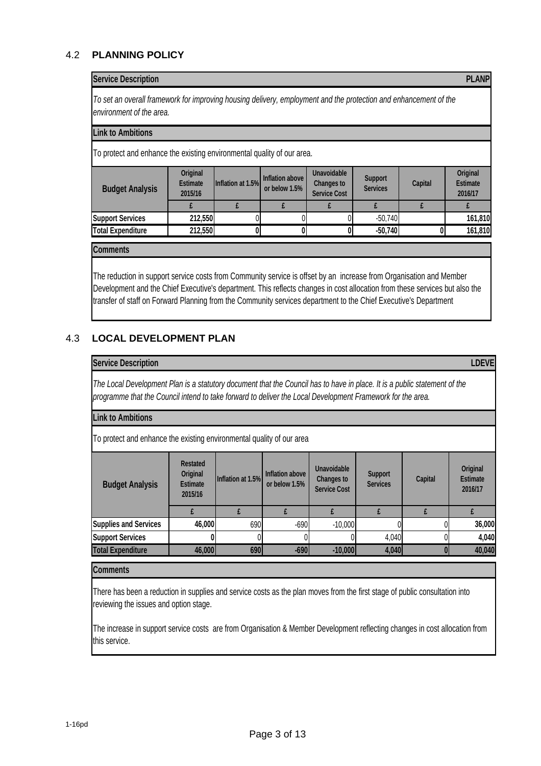# 4.2 **PLANNING POLICY**

#### **Service Description PLANP**

*To set an overall framework for improving housing delivery, employment and the protection and enhancement of the environment of the area.*

#### **Link to Ambitions**

To protect and enhance the existing environmental quality of our area.

| <b>Budget Analysis</b>   | Original<br><b>Estimate</b><br>2015/16 | Inflation at 1.5% | Inflation above<br>or below 1.5% | Unavoidable<br>Changes to<br><b>Service Cost</b> | Support<br><b>Services</b> | Capital | Original<br><b>Estimate</b><br>2016/17 |
|--------------------------|----------------------------------------|-------------------|----------------------------------|--------------------------------------------------|----------------------------|---------|----------------------------------------|
|                          |                                        |                   |                                  |                                                  |                            |         |                                        |
| <b>Support Services</b>  | 212,550                                |                   |                                  |                                                  | $-50,740$                  |         | 161,810                                |
| <b>Total Expenditure</b> | 212,550                                |                   |                                  |                                                  | $-50,740$                  |         | 161,810                                |

**Comments**

The reduction in support service costs from Community service is offset by an increase from Organisation and Member Development and the Chief Executive's department. This reflects changes in cost allocation from these services but also the transfer of staff on Forward Planning from the Community services department to the Chief Executive's Department

## 4.3 **LOCAL DEVELOPMENT PLAN**

#### **Service Description LDEVE**

*The Local Development Plan is a statutory document that the Council has to have in place. It is a public statement of the programme that the Council intend to take forward to deliver the Local Development Framework for the area.*

#### **Link to Ambitions**

To protect and enhance the existing environmental quality of our area

| <b>Budget Analysis</b>       | <b>Restated</b><br>Original<br><b>Estimate</b><br>2015/16 | Inflation at 1.5% | Inflation above<br>or below 1.5% | <b>Unavoidable</b><br>Changes to<br><b>Service Cost</b> | Support<br><b>Services</b> | Capital | Original<br><b>Estimate</b><br>2016/17 |
|------------------------------|-----------------------------------------------------------|-------------------|----------------------------------|---------------------------------------------------------|----------------------------|---------|----------------------------------------|
|                              |                                                           |                   |                                  |                                                         |                            |         |                                        |
| <b>Supplies and Services</b> | 46,000                                                    | 690               | $-690$                           | $-10,000$                                               |                            |         | 36,000                                 |
| <b>Support Services</b>      |                                                           |                   |                                  |                                                         | 4,040                      |         | 4,040                                  |
| <b>Total Expenditure</b>     | 46,000                                                    | 690               | $-690$                           | $-10,000$                                               | 4,040                      |         | 40,040                                 |

#### **Comments**

There has been a reduction in supplies and service costs as the plan moves from the first stage of public consultation into reviewing the issues and option stage.

The increase in support service costs are from Organisation & Member Development reflecting changes in cost allocation from this service.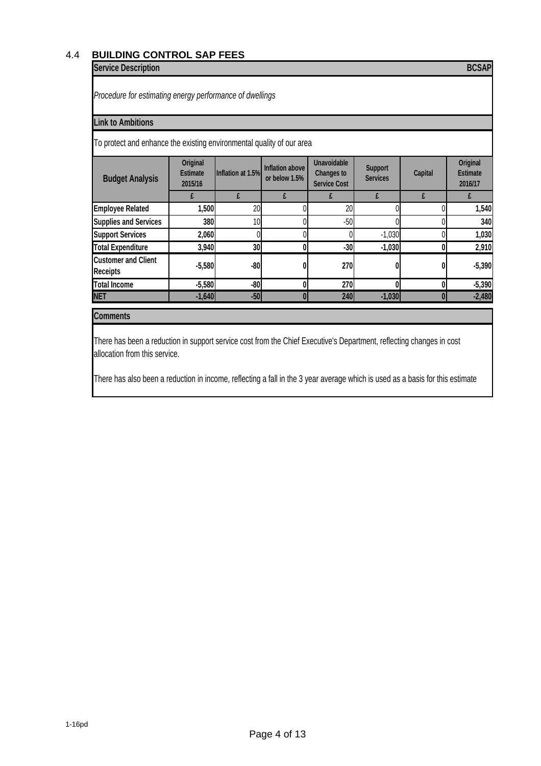# 4.4 **BUILDING CONTROL SAP FEES**

# **Service Description BCSAP**

*Procedure for estimating energy performance of dwellings*

## **Link to Ambitions**

To protect and enhance the existing environmental quality of our area

| <b>Budget Analysis</b>                 | Original<br><b>Estimate</b><br>2015/16 | Inflation at 1.5% | Inflation above<br>or below 1.5% | Unavoidable<br>Changes to<br><b>Service Cost</b> | Support<br><b>Services</b> | Capital | Original<br><b>Estimate</b><br>2016/17 |
|----------------------------------------|----------------------------------------|-------------------|----------------------------------|--------------------------------------------------|----------------------------|---------|----------------------------------------|
|                                        |                                        |                   |                                  |                                                  |                            |         |                                        |
| <b>Employee Related</b>                | 1,500                                  | 20                |                                  | 20                                               |                            |         | 1,540                                  |
| <b>Supplies and Services</b>           | 380                                    | 10                |                                  | $-50$                                            |                            |         | 340                                    |
| <b>Support Services</b>                | 2,060                                  |                   |                                  |                                                  | $-1,030$                   |         | 1,030                                  |
| <b>Total Expenditure</b>               | 3,940                                  | 30                |                                  | $-30$                                            | $-1,030$                   |         | 2,910                                  |
| <b>Customer and Client</b><br>Receipts | $-5,580$                               | $-80$             |                                  | 270                                              |                            |         | $-5,390$                               |
| <b>Total Income</b>                    | $-5,580$                               | $-80$             |                                  | 270                                              |                            |         | $-5,390$                               |
| <b>NET</b>                             | $-1,640$                               | $-50$             |                                  | 240                                              | $-1,030$                   |         | $-2,480$                               |

## **Comments**

There has been a reduction in support service cost from the Chief Executive's Department, reflecting changes in cost allocation from this service.

There has also been a reduction in income, reflecting a fall in the 3 year average which is used as a basis for this estimate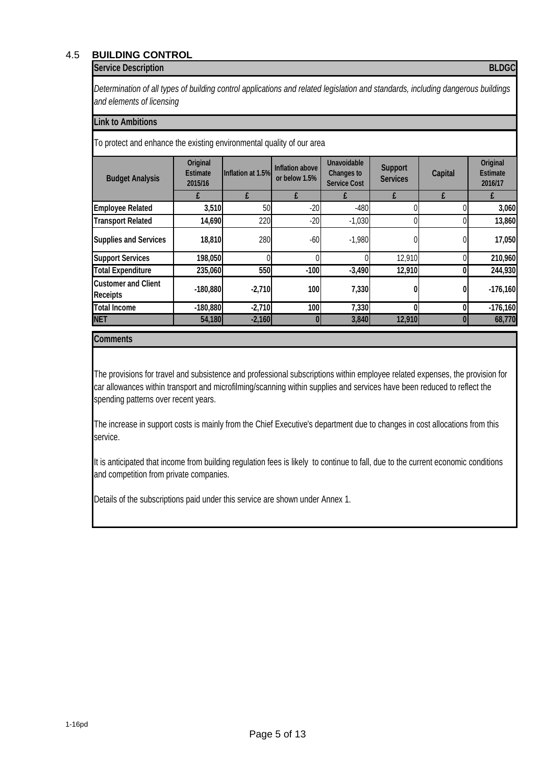# 4.5 **BUILDING CONTROL**

#### **Service Description BLDGC**

*Determination of all types of building control applications and related legislation and standards, including dangerous buildings and elements of licensing*

#### **Link to Ambitions**

To protect and enhance the existing environmental quality of our area

| <b>Budget Analysis</b>                 | Original<br><b>Estimate</b><br>2015/16 | Inflation at 1.5% | Inflation above<br>or below 1.5% | Unavoidable<br>Changes to<br><b>Service Cost</b> | <b>Support</b><br><b>Services</b> | Capital | Original<br><b>Estimate</b><br>2016/17 |
|----------------------------------------|----------------------------------------|-------------------|----------------------------------|--------------------------------------------------|-----------------------------------|---------|----------------------------------------|
|                                        |                                        |                   |                                  |                                                  |                                   |         |                                        |
| <b>Employee Related</b>                | 3,510                                  | 50                | $-20$                            | $-480$                                           |                                   |         | 3,060                                  |
| <b>Transport Related</b>               | 14,690                                 | 220               | $-20$                            | $-1,030$                                         |                                   |         | 13,860                                 |
| <b>Supplies and Services</b>           | 18,810                                 | 280               | $-60$                            | $-1,980$                                         |                                   |         | 17,050                                 |
| <b>Support Services</b>                | 198,050                                |                   |                                  |                                                  | 12,910                            |         | 210,960                                |
| <b>Total Expenditure</b>               | 235,060                                | 550               | $-100$                           | $-3,490$                                         | 12,910                            |         | 244,930                                |
| <b>Customer and Client</b><br>Receipts | $-180,880$                             | $-2,710$          | <b>100</b>                       | 7,330                                            |                                   |         | $-176,160$                             |
| <b>Total Income</b>                    | $-180,880$                             | $-2,710$          | 100                              | 7,330                                            |                                   |         | $-176,160$                             |
| <b>NET</b>                             | 54,180                                 | $-2,160$          | 01                               | 3,840                                            | 12,910                            |         | 68,770                                 |

## **Comments**

The provisions for travel and subsistence and professional subscriptions within employee related expenses, the provision for car allowances within transport and microfilming/scanning within supplies and services have been reduced to reflect the spending patterns over recent years.

The increase in support costs is mainly from the Chief Executive's department due to changes in cost allocations from this service.

It is anticipated that income from building regulation fees is likely to continue to fall, due to the current economic conditions and competition from private companies.

Details of the subscriptions paid under this service are shown under Annex 1.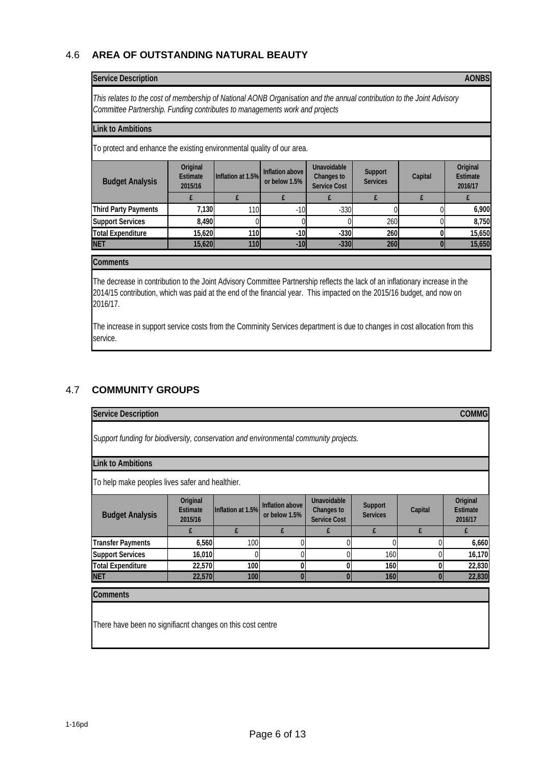# 4.6 **AREA OF OUTSTANDING NATURAL BEAUTY**

#### **Service Description AONBS**

*This relates to the cost of membership of National AONB Organisation and the annual contribution to the Joint Advisory Committee Partnership. Funding contributes to managements work and projects*

#### **Link to Ambitions**

To protect and enhance the existing environmental quality of our area.

| <b>Budget Analysis</b>      | Original<br><b>Estimate</b><br>2015/16 | Inflation at 1.5% | Inflation above<br>or below 1.5% | <b>Unavoidable</b><br>Changes to<br><b>Service Cost</b> | Support<br><b>Services</b> | Capital | Original<br><b>Estimate</b><br>2016/17 |
|-----------------------------|----------------------------------------|-------------------|----------------------------------|---------------------------------------------------------|----------------------------|---------|----------------------------------------|
|                             |                                        |                   |                                  |                                                         |                            |         |                                        |
| <b>Third Party Payments</b> | 7,130                                  | 110 <sub>l</sub>  | $-10$                            | $-330$                                                  |                            |         | 6,900                                  |
| <b>Support Services</b>     | 8,490                                  |                   |                                  |                                                         | 260                        |         | 8,750                                  |
| <b>Total Expenditure</b>    | 15,620                                 | 110               | $-10$                            | $-330$                                                  | 260                        |         | 15,650                                 |
| <b>NET</b>                  | 15,620                                 | 110               | $-10$                            | $-330$                                                  | 260                        |         | 15,650                                 |

#### **Comments**

The decrease in contribution to the Joint Advisory Committee Partnership reflects the lack of an inflationary increase in the 2014/15 contribution, which was paid at the end of the financial year. This impacted on the 2015/16 budget, and now on 2016/17.

The increase in support service costs from the Comminity Services department is due to changes in cost allocation from this service.

## 4.7 **COMMUNITY GROUPS**

| <b>Service Description</b>                                                           | <b>COMMG</b>                           |                   |                                  |                                                  |                            |                |                                        |  |  |
|--------------------------------------------------------------------------------------|----------------------------------------|-------------------|----------------------------------|--------------------------------------------------|----------------------------|----------------|----------------------------------------|--|--|
| Support funding for biodiversity, conservation and environmental community projects. |                                        |                   |                                  |                                                  |                            |                |                                        |  |  |
| <b>Link to Ambitions</b>                                                             |                                        |                   |                                  |                                                  |                            |                |                                        |  |  |
| To help make peoples lives safer and healthier.                                      |                                        |                   |                                  |                                                  |                            |                |                                        |  |  |
| <b>Budget Analysis</b>                                                               | Original<br><b>Estimate</b><br>2015/16 | Inflation at 1.5% | Inflation above<br>or below 1.5% | Unavoidable<br>Changes to<br><b>Service Cost</b> | Support<br><b>Services</b> | Capital        | Original<br><b>Estimate</b><br>2016/17 |  |  |
|                                                                                      | £                                      | £                 | £                                | £                                                | £                          | £              | £                                      |  |  |
| <b>Transfer Payments</b>                                                             | 6,560                                  | 100               |                                  | 0                                                |                            |                | 6,660                                  |  |  |
| <b>Support Services</b>                                                              | 16,010                                 | 0                 |                                  | 0                                                | 160                        |                | 16,170                                 |  |  |
| <b>Total Expenditure</b>                                                             | 22,570                                 | 100               | $\mathbf{0}$                     | 0                                                | 160                        | 0              | 22,830                                 |  |  |
| <b>NET</b>                                                                           | 22,570                                 | 100               | $\overline{0}$                   | $\bf{0}$                                         | 160                        | $\overline{0}$ | 22,830                                 |  |  |
| <b>Comments</b>                                                                      |                                        |                   |                                  |                                                  |                            |                |                                        |  |  |
|                                                                                      |                                        |                   |                                  |                                                  |                            |                |                                        |  |  |
|                                                                                      |                                        |                   |                                  |                                                  |                            |                |                                        |  |  |
| There have been no signifiacnt changes on this cost centre                           |                                        |                   |                                  |                                                  |                            |                |                                        |  |  |
|                                                                                      |                                        |                   |                                  |                                                  |                            |                |                                        |  |  |
|                                                                                      |                                        |                   |                                  |                                                  |                            |                |                                        |  |  |

1-16pd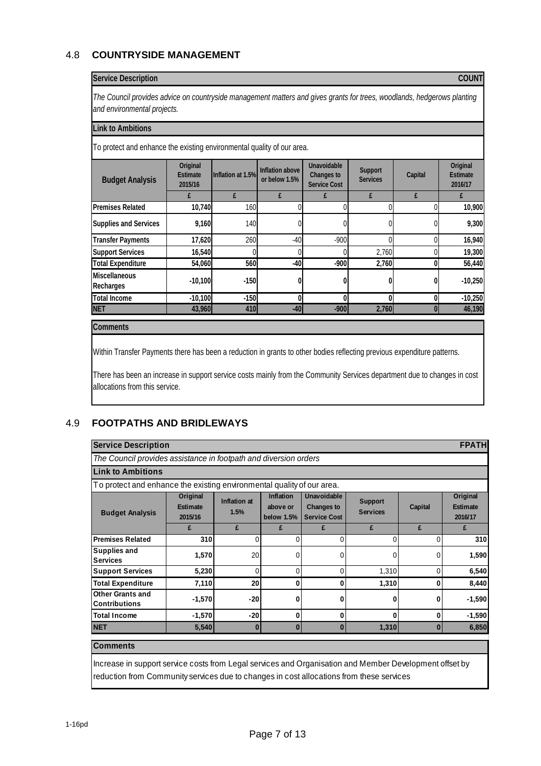# 4.8 **COUNTRYSIDE MANAGEMENT**

## **Service Description COUNT**

*The Council provides advice on countryside management matters and gives grants for trees, woodlands, hedgerows planting and environmental projects.*

#### **Link to Ambitions**

To protect and enhance the existing environmental quality of our area.

|                                   | 2015/16   | Inflation at 1.5% | Inflation above<br>or below 1.5% | <b>Changes to</b><br><b>Service Cost</b> | Support<br><b>Services</b> | Capital | Original<br><b>Estimate</b><br>2016/17 |
|-----------------------------------|-----------|-------------------|----------------------------------|------------------------------------------|----------------------------|---------|----------------------------------------|
|                                   |           |                   | f                                | £                                        | £                          | £       |                                        |
| <b>Premises Related</b>           | 10,740    | 160               |                                  |                                          |                            |         | 10,900                                 |
| Supplies and Services             | 9,160     | 140               |                                  |                                          |                            |         | 9,300                                  |
| <b>Transfer Payments</b>          | 17,620    | 260               | $-40$                            | $-900$                                   |                            |         | 16,940                                 |
| <b>Support Services</b>           | 16,540    |                   |                                  |                                          | 2.760                      |         | 19,300                                 |
| <b>Total Expenditure</b>          | 54,060    | 560               | $-40$                            | $-900$                                   | 2,760                      |         | 56,440                                 |
| <b>Miscellaneous</b><br>Recharges | $-10,100$ | $-150$            |                                  |                                          |                            |         | $-10,250$                              |
| <b>Total Income</b>               | $-10,100$ | $-150$            |                                  |                                          |                            |         | $-10,250$                              |
| <b>NET</b>                        | 43,960    | 410               | $-40$                            | $-900$                                   | 2,760                      |         | 46,190                                 |

#### **Comments**

Within Transfer Payments there has been a reduction in grants to other bodies reflecting previous expenditure patterns.

There has been an increase in support service costs mainly from the Community Services department due to changes in cost allocations from this service.

## 4.9 **FOOTPATHS AND BRIDLEWAYS**

| <b>Service Description</b>                                             |                                                                                                                                                                                                    |          |              |   |       |   | <b>FPATH</b> |  |  |  |
|------------------------------------------------------------------------|----------------------------------------------------------------------------------------------------------------------------------------------------------------------------------------------------|----------|--------------|---|-------|---|--------------|--|--|--|
| The Council provides assistance in footpath and diversion orders       |                                                                                                                                                                                                    |          |              |   |       |   |              |  |  |  |
| <b>Link to Ambitions</b>                                               |                                                                                                                                                                                                    |          |              |   |       |   |              |  |  |  |
| To protect and enhance the existing environmental quality of our area. |                                                                                                                                                                                                    |          |              |   |       |   |              |  |  |  |
| <b>Budget Analysis</b>                                                 | <b>Inflation</b><br>Unavoidable<br>Original<br>Inflation at<br>Support<br>Changes to<br>Estimate<br>Capital<br>above or<br><b>Services</b><br>1.5%<br><b>Service Cost</b><br>2015/16<br>below 1.5% |          |              |   |       |   |              |  |  |  |
|                                                                        | £                                                                                                                                                                                                  | £        | f            | £ | £     | f | £            |  |  |  |
| <b>Premises Related</b>                                                | 310                                                                                                                                                                                                | $\Omega$ | 0            | 0 | 0     | 0 | 310          |  |  |  |
| Supplies and<br><b>Services</b>                                        | 1,570                                                                                                                                                                                              | 20       | 0            | 0 | 0     | 0 | 1,590        |  |  |  |
| <b>Support Services</b>                                                | 5,230                                                                                                                                                                                              | $\Omega$ | $\Omega$     |   | 1,310 | 0 | 6,540        |  |  |  |
| <b>Total Expenditure</b>                                               | 7,110                                                                                                                                                                                              | 20       | 0            | 0 | 1,310 | 0 | 8,440        |  |  |  |
| Other Grants and<br>Contributions                                      | $-1,570$                                                                                                                                                                                           | $-20$    |              |   |       | 0 | $-1,590$     |  |  |  |
| <b>Total Income</b>                                                    | $-1,570$                                                                                                                                                                                           | $-20$    | $\mathbf{0}$ | 0 | 0     | 0 | $-1,590$     |  |  |  |
| <b>NET</b>                                                             | 5,540                                                                                                                                                                                              | $\bf{0}$ | $\Omega$     | 0 | 1,310 | 0 | 6,850        |  |  |  |
| <b>Comments</b>                                                        |                                                                                                                                                                                                    |          |              |   |       |   |              |  |  |  |

Increase in support service costs from Legal services and Organisation and Member Development offset by reduction from Community services due to changes in cost allocations from these services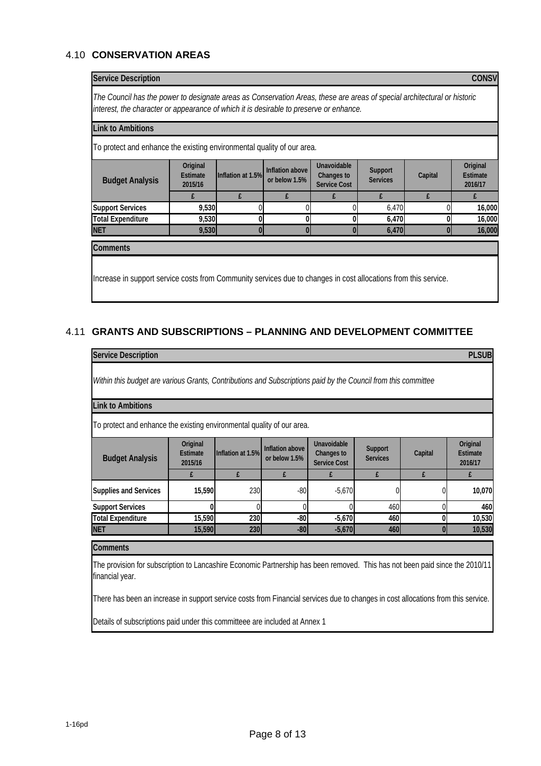# 4.10 **CONSERVATION AREAS**

| The Council has the power to designate areas as Conservation Areas, these are areas of special architectural or historic |                                        |                   |                                  |                                                         |                            |              |                                 |
|--------------------------------------------------------------------------------------------------------------------------|----------------------------------------|-------------------|----------------------------------|---------------------------------------------------------|----------------------------|--------------|---------------------------------|
| interest, the character or appearance of which it is desirable to preserve or enhance.                                   |                                        |                   |                                  |                                                         |                            |              |                                 |
| ink to Ambitions                                                                                                         |                                        |                   |                                  |                                                         |                            |              |                                 |
| To protect and enhance the existing environmental quality of our area.                                                   |                                        |                   |                                  |                                                         |                            |              |                                 |
| <b>Budget Analysis</b>                                                                                                   | Original<br><b>Estimate</b><br>2015/16 | Inflation at 1.5% | Inflation above<br>or below 1.5% | Unavoidable<br><b>Changes to</b><br><b>Service Cost</b> | Support<br><b>Services</b> | Capital      | Original<br>Estimate<br>2016/17 |
|                                                                                                                          | £                                      | £                 | £                                | f                                                       | £                          | f            | £                               |
| <b>Support Services</b>                                                                                                  | 9,530                                  |                   |                                  |                                                         | 6,470                      |              | 16,000                          |
| <b>Total Expenditure</b>                                                                                                 | 9,530                                  | $\mathbf{0}$      | 0                                |                                                         | 6,470                      | O            | 16,000                          |
| <b>NET</b>                                                                                                               | 9,530                                  | $\mathbf{0}$      | 0                                |                                                         | 6,470                      | $\mathbf{0}$ | 16,000                          |
| <b>Comments</b>                                                                                                          |                                        |                   |                                  |                                                         |                            |              |                                 |
|                                                                                                                          |                                        |                   |                                  |                                                         |                            |              |                                 |

# 4.11 **GRANTS AND SUBSCRIPTIONS – PLANNING AND DEVELOPMENT COMMITTEE**

| <b>Service Description</b>                                                                                                                      |                                        |                   |                                  |                                                  |                            |         | <b>PLSUB</b>                           |
|-------------------------------------------------------------------------------------------------------------------------------------------------|----------------------------------------|-------------------|----------------------------------|--------------------------------------------------|----------------------------|---------|----------------------------------------|
| Within this budget are various Grants, Contributions and Subscriptions paid by the Council from this committee                                  |                                        |                   |                                  |                                                  |                            |         |                                        |
| <b>Link to Ambitions</b>                                                                                                                        |                                        |                   |                                  |                                                  |                            |         |                                        |
| To protect and enhance the existing environmental quality of our area.                                                                          |                                        |                   |                                  |                                                  |                            |         |                                        |
| <b>Budget Analysis</b>                                                                                                                          | Original<br><b>Estimate</b><br>2015/16 | Inflation at 1.5% | Inflation above<br>or below 1.5% | Unavoidable<br>Changes to<br><b>Service Cost</b> | Support<br><b>Services</b> | Capital | Original<br><b>Estimate</b><br>2016/17 |
|                                                                                                                                                 | £                                      | £                 | £                                | £                                                | £                          | £       | £                                      |
| <b>Supplies and Services</b>                                                                                                                    | 15,590                                 | 230               | $-80$                            | $-5,670$                                         |                            |         | 10,070                                 |
| <b>Support Services</b>                                                                                                                         | N                                      | $\Omega$          | Λ                                |                                                  | 460                        |         | 460                                    |
| <b>Total Expenditure</b>                                                                                                                        | 15,590                                 | 230               | $-80$                            | $-5,670$                                         | 460                        | 0       | 10,530                                 |
| <b>NET</b>                                                                                                                                      | 15,590                                 | 230               | $-80$                            | $-5,670$                                         | 460                        | O       | 10,530                                 |
| <b>Comments</b>                                                                                                                                 |                                        |                   |                                  |                                                  |                            |         |                                        |
| The provision for subscription to Lancashire Economic Partnership has been removed. This has not been paid since the 2010/11<br>financial year. |                                        |                   |                                  |                                                  |                            |         |                                        |

There has been an increase in support service costs from Financial services due to changes in cost allocations from this service.

Details of subscriptions paid under this committeee are included at Annex 1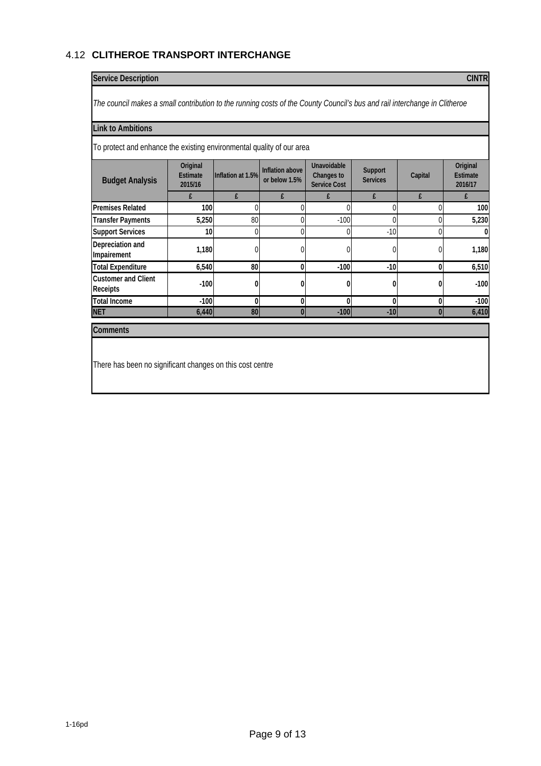# 4.12 **CLITHEROE TRANSPORT INTERCHANGE**

## **Service Description CINTR**

*The council makes a small contribution to the running costs of the County Council's bus and rail interchange in Clitheroe*

#### **Link to Ambitions**

To protect and enhance the existing environmental quality of our area

| <b>Budget Analysis</b>                 | Original<br><b>Estimate</b><br>2015/16 | Inflation at 1.5% | Inflation above<br>or below 1.5% | Unavoidable<br>Changes to<br><b>Service Cost</b> | Support<br><b>Services</b> | Capital  | Original<br>Estimate<br>2016/17 |
|----------------------------------------|----------------------------------------|-------------------|----------------------------------|--------------------------------------------------|----------------------------|----------|---------------------------------|
|                                        | £                                      |                   |                                  | £                                                |                            | f        |                                 |
| <b>Premises Related</b>                | 100                                    |                   |                                  |                                                  |                            |          | 100                             |
| <b>Transfer Payments</b>               | 5,250                                  | 80                |                                  | $-100$                                           |                            |          | 5,230                           |
| <b>Support Services</b>                | 10 <sup>1</sup>                        |                   |                                  | $\Omega$                                         | $-10$                      |          | $\bf{0}$                        |
| Depreciation and<br>Impairement        | 1,180                                  |                   |                                  |                                                  |                            |          | 1,180                           |
| <b>Total Expenditure</b>               | 6,540                                  | 80                | 0                                | $-100$                                           | $-10$                      | 0        | 6,510                           |
| <b>Customer and Client</b><br>Receipts | $-100$                                 |                   |                                  |                                                  |                            |          | $-100$                          |
| <b>Total Income</b>                    | $-100$                                 |                   | n                                | $\mathbf{0}$                                     |                            | 0        | $-100$                          |
| <b>NET</b>                             | 6,440                                  | 80                | $\Omega$                         | $-100$                                           | $-10$                      | $\bf{0}$ | 6,410                           |

#### **Comments**

There has been no significant changes on this cost centre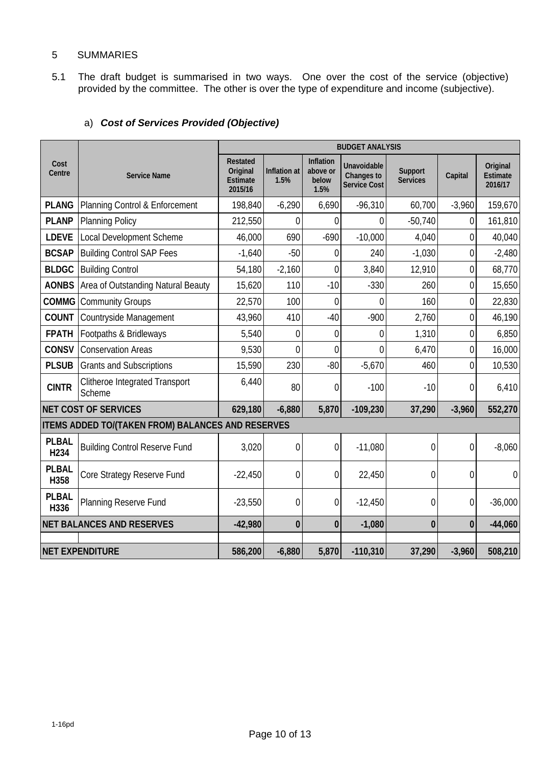## 5 SUMMARIES

5.1 The draft budget is summarised in two ways. One over the cost of the service (objective) provided by the committee. The other is over the type of expenditure and income (subjective).

|                                  |                                                   | <b>BUDGET ANALYSIS</b>                             |                      |                                        |                                                  |                            |                |                                 |
|----------------------------------|---------------------------------------------------|----------------------------------------------------|----------------------|----------------------------------------|--------------------------------------------------|----------------------------|----------------|---------------------------------|
| Cost<br>Centre                   | <b>Service Name</b>                               | Restated<br>Original<br><b>Estimate</b><br>2015/16 | Inflation at<br>1.5% | Inflation<br>above or<br>below<br>1.5% | Unavoidable<br>Changes to<br><b>Service Cost</b> | Support<br><b>Services</b> | Capital        | Original<br>Estimate<br>2016/17 |
| <b>PLANG</b>                     | Planning Control & Enforcement                    | 198,840                                            | $-6,290$             | 6,690                                  | $-96,310$                                        | 60,700                     | $-3,960$       | 159,670                         |
| <b>PLANP</b>                     | <b>Planning Policy</b>                            | 212,550                                            | 0                    | 0                                      | $\Omega$                                         | $-50,740$                  | 0              | 161,810                         |
| <b>LDEVE</b>                     | Local Development Scheme                          | 46,000                                             | 690                  | $-690$                                 | $-10,000$                                        | 4,040                      | 0              | 40,040                          |
| <b>BCSAP</b>                     | <b>Building Control SAP Fees</b>                  | $-1,640$                                           | $-50$                | 0                                      | 240                                              | $-1,030$                   | $\mathbf 0$    | $-2,480$                        |
| <b>BLDGC</b>                     | <b>Building Control</b>                           | 54,180                                             | $-2,160$             | 0                                      | 3,840                                            | 12,910                     | 0              | 68,770                          |
| <b>AONBS</b>                     | Area of Outstanding Natural Beauty                | 15,620                                             | 110                  | $-10$                                  | $-330$                                           | 260                        | $\overline{0}$ | 15,650                          |
| <b>COMMG</b>                     | <b>Community Groups</b>                           | 22,570                                             | 100                  | 0                                      | $\overline{0}$                                   | 160                        | $\overline{0}$ | 22,830                          |
| <b>COUNT</b>                     | Countryside Management                            | 43,960                                             | 410                  | $-40$                                  | $-900$                                           | 2,760                      | $\overline{0}$ | 46,190                          |
| <b>FPATH</b>                     | Footpaths & Bridleways                            | 5,540                                              | 0                    | $\boldsymbol{0}$                       | $\mathbf 0$                                      | 1,310                      | $\mathbf 0$    | 6,850                           |
| <b>CONSV</b>                     | <b>Conservation Areas</b>                         | 9,530                                              | $\overline{0}$       | $\overline{0}$                         | $\overline{0}$                                   | 6,470                      | $\overline{0}$ | 16,000                          |
| <b>PLSUB</b>                     | <b>Grants and Subscriptions</b>                   | 15,590                                             | 230                  | $-80$                                  | $-5,670$                                         | 460                        | $\overline{0}$ | 10,530                          |
| <b>CINTR</b>                     | <b>Clitheroe Integrated Transport</b><br>Scheme   | 6,440                                              | 80                   | $\mathbf{0}$                           | $-100$                                           | $-10$                      | 0              | 6,410                           |
| <b>NET COST OF SERVICES</b>      |                                                   | 629,180                                            | $-6,880$             | 5,870                                  | $-109,230$                                       | 37,290                     | $-3,960$       | 552,270                         |
|                                  | ITEMS ADDED TO/(TAKEN FROM) BALANCES AND RESERVES |                                                    |                      |                                        |                                                  |                            |                |                                 |
| <b>PLBAL</b><br>H <sub>234</sub> | <b>Building Control Reserve Fund</b>              | 3,020                                              | $\mathbf 0$          | $\boldsymbol{0}$                       | $-11,080$                                        | $\mathbf 0$                | $\mathbf 0$    | $-8,060$                        |
| <b>PLBAL</b><br>H358             | Core Strategy Reserve Fund                        | $-22,450$                                          | $\mathbf 0$          | $\mathbf 0$                            | 22,450                                           | $\mathbf 0$                | $\mathbf 0$    | $\mathbf 0$                     |
| <b>PLBAL</b><br>H336             | Planning Reserve Fund                             | $-23,550$                                          | 0                    | $\boldsymbol{0}$                       | $-12,450$                                        | 0                          | 0              | $-36,000$                       |
| <b>NET BALANCES AND RESERVES</b> |                                                   | $-42,980$                                          | $\bf{0}$             | $\bf{0}$                               | $-1,080$                                         | $\bf{0}$                   | $\mathbf{0}$   | $-44,060$                       |
|                                  |                                                   |                                                    |                      |                                        |                                                  |                            |                |                                 |
| <b>NET EXPENDITURE</b>           |                                                   | 586,200                                            | $-6,880$             | 5,870                                  | $-110,310$                                       | 37,290                     | $-3,960$       | 508,210                         |

# a) *Cost of Services Provided (Objective)*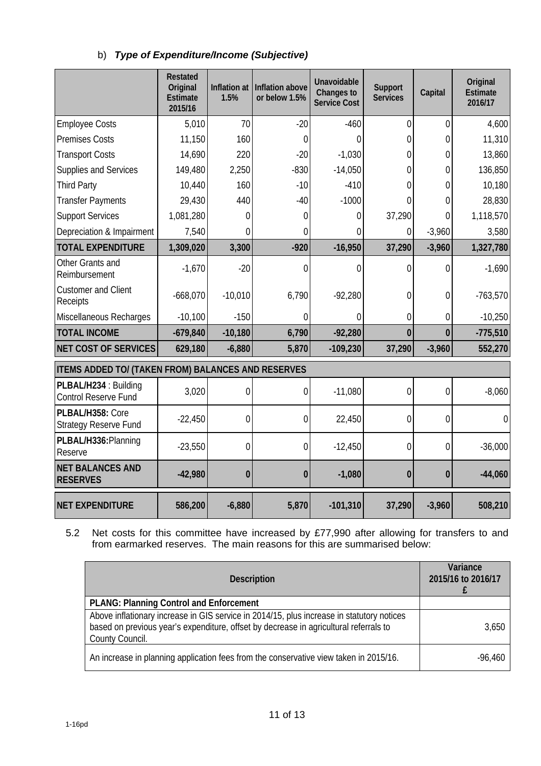|  | b) Type of Expenditure/Income (Subjective) |
|--|--------------------------------------------|
|--|--------------------------------------------|

|                                                      | <b>Restated</b><br>Original<br><b>Estimate</b><br>2015/16 | Inflation at<br>1.5% | Inflation above<br>or below 1.5% | Unavoidable<br>Changes to<br><b>Service Cost</b> | Support<br><b>Services</b> | Capital        | Original<br><b>Estimate</b><br>2016/17 |  |
|------------------------------------------------------|-----------------------------------------------------------|----------------------|----------------------------------|--------------------------------------------------|----------------------------|----------------|----------------------------------------|--|
| <b>Employee Costs</b>                                | 5,010                                                     | 70                   | $-20$                            | $-460$                                           | $\overline{0}$             | $\overline{0}$ | 4,600                                  |  |
| <b>Premises Costs</b>                                | 11,150                                                    | 160                  | $\mathbf 0$                      | 0                                                | 0                          | $\overline{0}$ | 11,310                                 |  |
| <b>Transport Costs</b>                               | 14,690                                                    | 220                  | $-20$                            | $-1,030$                                         | 0                          | $\Omega$       | 13,860                                 |  |
| Supplies and Services                                | 149,480                                                   | 2,250                | $-830$                           | $-14,050$                                        | 0                          | $\overline{0}$ | 136,850                                |  |
| <b>Third Party</b>                                   | 10,440                                                    | 160                  | $-10$                            | $-410$                                           | 0                          | $\theta$       | 10,180                                 |  |
| <b>Transfer Payments</b>                             | 29,430                                                    | 440                  | $-40$                            | $-1000$                                          | 0                          | 0              | 28,830                                 |  |
| <b>Support Services</b>                              | 1,081,280                                                 | $\Omega$             | $\Omega$                         | $\Omega$                                         | 37,290                     | 0              | 1,118,570                              |  |
| Depreciation & Impairment                            | 7,540                                                     | 0                    | 0                                | 0                                                | 0                          | $-3,960$       | 3,580                                  |  |
| <b>TOTAL EXPENDITURE</b>                             | 1,309,020                                                 | 3,300                | $-920$                           | $-16,950$                                        | 37,290                     | $-3,960$       | 1,327,780                              |  |
| Other Grants and<br>Reimbursement                    | $-1,670$                                                  | $-20$                | $\mathbf 0$                      | 0                                                | 0                          | $\overline{0}$ | $-1,690$                               |  |
| <b>Customer and Client</b><br>Receipts               | $-668,070$                                                | $-10,010$            | 6,790                            | $-92,280$                                        | 0                          | $\mathbf 0$    | $-763,570$                             |  |
| Miscellaneous Recharges                              | $-10,100$                                                 | $-150$               | 0                                | $\Omega$                                         | 0                          | 0              | $-10,250$                              |  |
| <b>TOTAL INCOME</b>                                  | $-679,840$                                                | $-10,180$            | 6,790                            | $-92,280$                                        | $\mathbf{0}$               | $\bf{0}$       | $-775,510$                             |  |
| <b>NET COST OF SERVICES</b>                          | 629,180                                                   | $-6,880$             | 5,870                            | $-109,230$                                       | 37,290                     | $-3,960$       | 552,270                                |  |
| ITEMS ADDED TO/ (TAKEN FROM) BALANCES AND RESERVES   |                                                           |                      |                                  |                                                  |                            |                |                                        |  |
| PLBAL/H234 : Building<br><b>Control Reserve Fund</b> | 3,020                                                     | $\mathbf 0$          | 0                                | $-11,080$                                        | 0                          | $\mathbf{0}$   | $-8,060$                               |  |
| PLBAL/H358: Core<br>Strategy Reserve Fund            | $-22,450$                                                 | $\overline{0}$       | 0                                | 22,450                                           | 0                          | $\mathbf 0$    | $\Omega$                               |  |
| PLBAL/H336: Planning<br>Reserve                      | $-23,550$                                                 | $\overline{0}$       | $\overline{0}$                   | $-12,450$                                        | $\overline{0}$             | $\overline{0}$ | $-36,000$                              |  |
| <b>NET BALANCES AND</b><br><b>RESERVES</b>           | $-42,980$                                                 | $\bf{0}$             | $\bf{0}$                         | $-1,080$                                         | $\bf{0}$                   | $\bf{0}$       | $-44,060$                              |  |
| <b>NET EXPENDITURE</b>                               | 586,200                                                   | $-6,880$             | 5,870                            | $-101,310$                                       | 37,290                     | $-3,960$       | 508,210                                |  |

5.2 Net costs for this committee have increased by £77,990 after allowing for transfers to and from earmarked reserves.The main reasons for this are summarised below:

| <b>Description</b>                                                                                                                                                                                    | Variance<br>2015/16 to 2016/17 |
|-------------------------------------------------------------------------------------------------------------------------------------------------------------------------------------------------------|--------------------------------|
| <b>PLANG: Planning Control and Enforcement</b>                                                                                                                                                        |                                |
| Above inflationary increase in GIS service in 2014/15, plus increase in statutory notices<br>based on previous year's expenditure, offset by decrease in agricultural referrals to<br>County Council. | 3,650                          |
| An increase in planning application fees from the conservative view taken in 2015/16.                                                                                                                 | $-96,460$                      |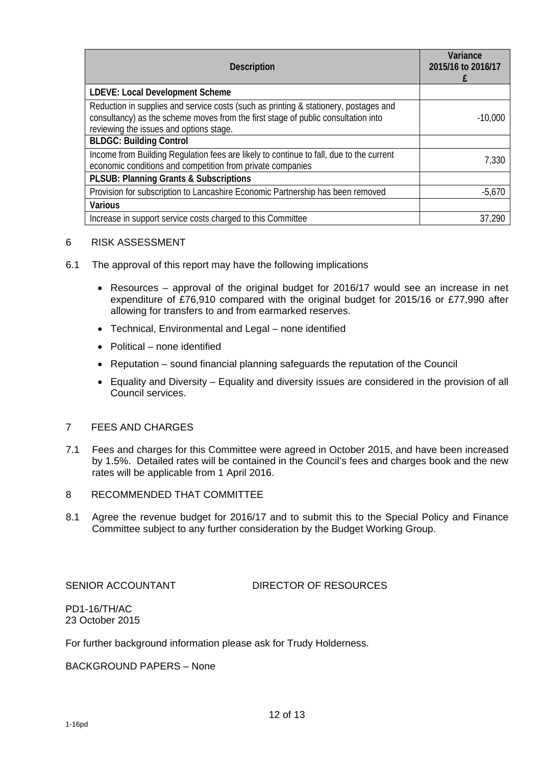| <b>Description</b>                                                                                                                                                                                                   | Variance<br>2015/16 to 2016/17 |
|----------------------------------------------------------------------------------------------------------------------------------------------------------------------------------------------------------------------|--------------------------------|
| <b>LDEVE: Local Development Scheme</b>                                                                                                                                                                               |                                |
| Reduction in supplies and service costs (such as printing & stationery, postages and<br>consultancy) as the scheme moves from the first stage of public consultation into<br>reviewing the issues and options stage. | $-10,000$                      |
| <b>BLDGC: Building Control</b>                                                                                                                                                                                       |                                |
| Income from Building Regulation fees are likely to continue to fall, due to the current<br>economic conditions and competition from private companies                                                                | 7,330                          |
| <b>PLSUB: Planning Grants &amp; Subscriptions</b>                                                                                                                                                                    |                                |
| Provision for subscription to Lancashire Economic Partnership has been removed                                                                                                                                       | $-5,670$                       |
| <b>Various</b>                                                                                                                                                                                                       |                                |
| Increase in support service costs charged to this Committee                                                                                                                                                          | 37,290                         |

## 6 RISK ASSESSMENT

- 6.1 The approval of this report may have the following implications
	- Resources approval of the original budget for 2016/17 would see an increase in net expenditure of £76,910 compared with the original budget for 2015/16 or £77,990 after allowing for transfers to and from earmarked reserves.
	- Technical, Environmental and Legal none identified
	- Political none identified
	- Reputation sound financial planning safeguards the reputation of the Council
	- Equality and Diversity Equality and diversity issues are considered in the provision of all Council services.

## 7 FEES AND CHARGES

- 7.1 Fees and charges for this Committee were agreed in October 2015, and have been increased by 1.5%. Detailed rates will be contained in the Council's fees and charges book and the new rates will be applicable from 1 April 2016.
- 8 RECOMMENDED THAT COMMITTEE
- 8.1 Agree the revenue budget for 2016/17 and to submit this to the Special Policy and Finance Committee subject to any further consideration by the Budget Working Group.

SENIOR ACCOUNTANT DIRECTOR OF RESOURCES

PD1-16/TH/AC 23 October 2015

For further background information please ask for Trudy Holderness.

BACKGROUND PAPERS – None